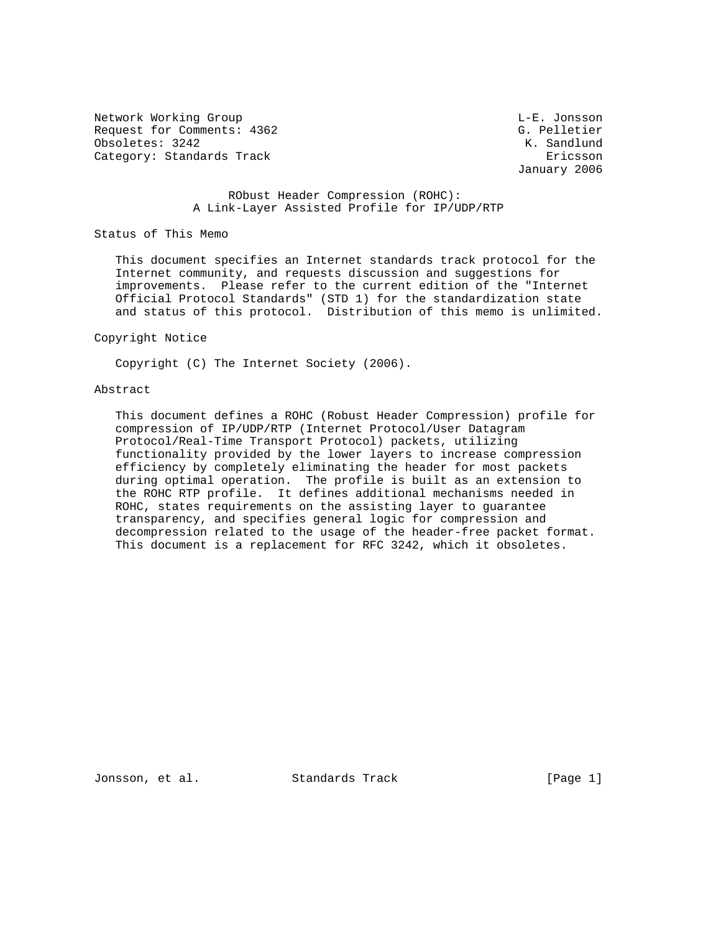Network Working Group and the contract of the L-E. Jonsson Request for Comments: 4362 G. Pelletier Obsoletes: 3242 K. Sandlund Category: Standards Track Ericsson

January 2006

# RObust Header Compression (ROHC): A Link-Layer Assisted Profile for IP/UDP/RTP

Status of This Memo

 This document specifies an Internet standards track protocol for the Internet community, and requests discussion and suggestions for improvements. Please refer to the current edition of the "Internet Official Protocol Standards" (STD 1) for the standardization state and status of this protocol. Distribution of this memo is unlimited.

#### Copyright Notice

Copyright (C) The Internet Society (2006).

## Abstract

 This document defines a ROHC (Robust Header Compression) profile for compression of IP/UDP/RTP (Internet Protocol/User Datagram Protocol/Real-Time Transport Protocol) packets, utilizing functionality provided by the lower layers to increase compression efficiency by completely eliminating the header for most packets during optimal operation. The profile is built as an extension to the ROHC RTP profile. It defines additional mechanisms needed in ROHC, states requirements on the assisting layer to guarantee transparency, and specifies general logic for compression and decompression related to the usage of the header-free packet format. This document is a replacement for RFC 3242, which it obsoletes.

Jonsson, et al. Standards Track [Page 1]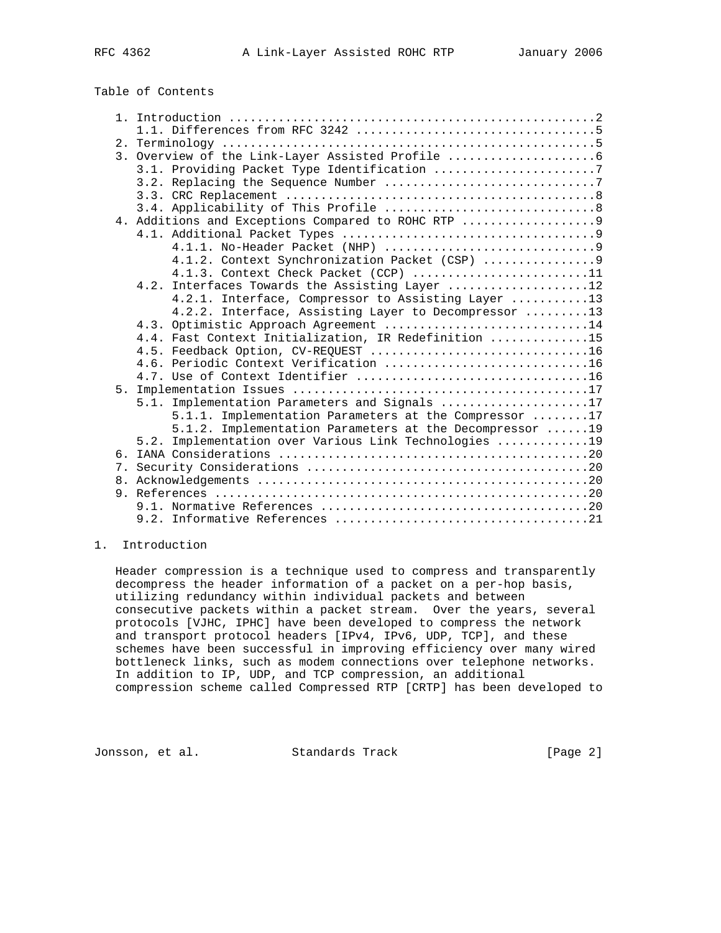# Table of Contents

|    | 3. Overview of the Link-Layer Assisted Profile          |  |
|----|---------------------------------------------------------|--|
|    | 3.1. Providing Packet Type Identification 7             |  |
|    |                                                         |  |
|    |                                                         |  |
|    |                                                         |  |
|    | 4. Additions and Exceptions Compared to ROHC RTP        |  |
|    |                                                         |  |
|    |                                                         |  |
|    |                                                         |  |
|    | 4.1.3. Context Check Packet (CCP) 11                    |  |
|    | 4.2. Interfaces Towards the Assisting Layer 12          |  |
|    | 4.2.1. Interface, Compressor to Assisting Layer 13      |  |
|    | 4.2.2. Interface, Assisting Layer to Decompressor 13    |  |
|    | 4.3. Optimistic Approach Agreement 14                   |  |
|    | 4.4. Fast Context Initialization, IR Redefinition 15    |  |
|    |                                                         |  |
|    | 4.6. Periodic Context Verification 16                   |  |
| 5. |                                                         |  |
|    | 5.1. Implementation Parameters and Signals 17           |  |
|    | 5.1.1. Implementation Parameters at the Compressor 17   |  |
|    | 5.1.2. Implementation Parameters at the Decompressor 19 |  |
|    | 5.2. Implementation over Various Link Technologies 19   |  |
|    |                                                         |  |
|    |                                                         |  |
|    |                                                         |  |
|    |                                                         |  |
|    |                                                         |  |
|    |                                                         |  |
|    |                                                         |  |

## 1. Introduction

 Header compression is a technique used to compress and transparently decompress the header information of a packet on a per-hop basis, utilizing redundancy within individual packets and between consecutive packets within a packet stream. Over the years, several protocols [VJHC, IPHC] have been developed to compress the network and transport protocol headers [IPv4, IPv6, UDP, TCP], and these schemes have been successful in improving efficiency over many wired bottleneck links, such as modem connections over telephone networks. In addition to IP, UDP, and TCP compression, an additional compression scheme called Compressed RTP [CRTP] has been developed to

Jonsson, et al. Standards Track [Page 2]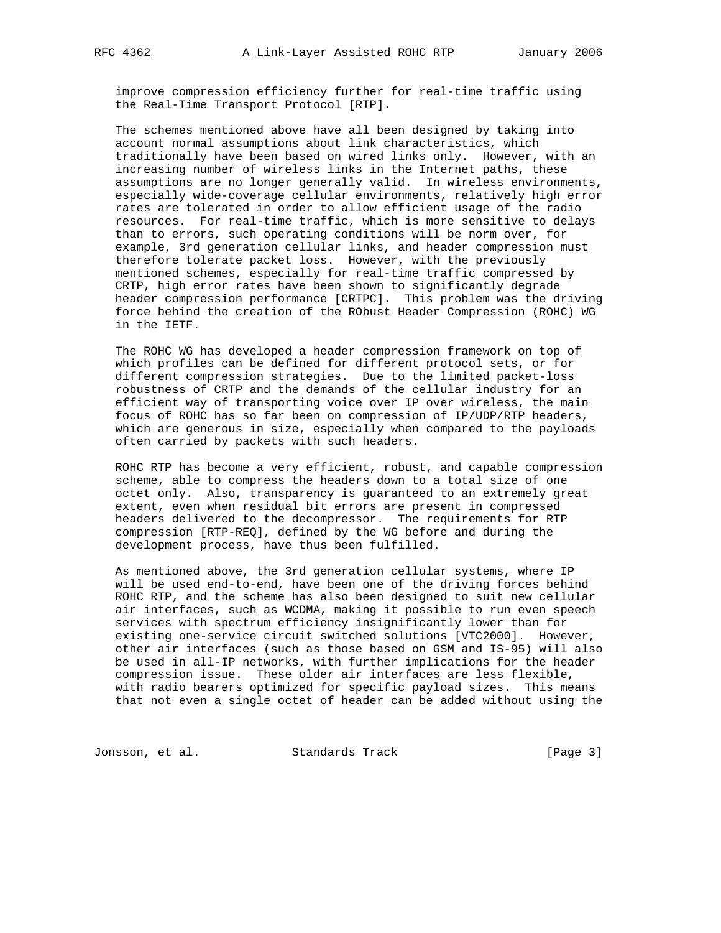improve compression efficiency further for real-time traffic using the Real-Time Transport Protocol [RTP].

 The schemes mentioned above have all been designed by taking into account normal assumptions about link characteristics, which traditionally have been based on wired links only. However, with an increasing number of wireless links in the Internet paths, these assumptions are no longer generally valid. In wireless environments, especially wide-coverage cellular environments, relatively high error rates are tolerated in order to allow efficient usage of the radio resources. For real-time traffic, which is more sensitive to delays than to errors, such operating conditions will be norm over, for example, 3rd generation cellular links, and header compression must therefore tolerate packet loss. However, with the previously mentioned schemes, especially for real-time traffic compressed by CRTP, high error rates have been shown to significantly degrade header compression performance [CRTPC]. This problem was the driving force behind the creation of the RObust Header Compression (ROHC) WG in the IETF.

 The ROHC WG has developed a header compression framework on top of which profiles can be defined for different protocol sets, or for different compression strategies. Due to the limited packet-loss robustness of CRTP and the demands of the cellular industry for an efficient way of transporting voice over IP over wireless, the main focus of ROHC has so far been on compression of IP/UDP/RTP headers, which are generous in size, especially when compared to the payloads often carried by packets with such headers.

 ROHC RTP has become a very efficient, robust, and capable compression scheme, able to compress the headers down to a total size of one octet only. Also, transparency is guaranteed to an extremely great extent, even when residual bit errors are present in compressed headers delivered to the decompressor. The requirements for RTP compression [RTP-REQ], defined by the WG before and during the development process, have thus been fulfilled.

 As mentioned above, the 3rd generation cellular systems, where IP will be used end-to-end, have been one of the driving forces behind ROHC RTP, and the scheme has also been designed to suit new cellular air interfaces, such as WCDMA, making it possible to run even speech services with spectrum efficiency insignificantly lower than for existing one-service circuit switched solutions [VTC2000]. However, other air interfaces (such as those based on GSM and IS-95) will also be used in all-IP networks, with further implications for the header compression issue. These older air interfaces are less flexible, with radio bearers optimized for specific payload sizes. This means that not even a single octet of header can be added without using the

Jonsson, et al. Standards Track [Page 3]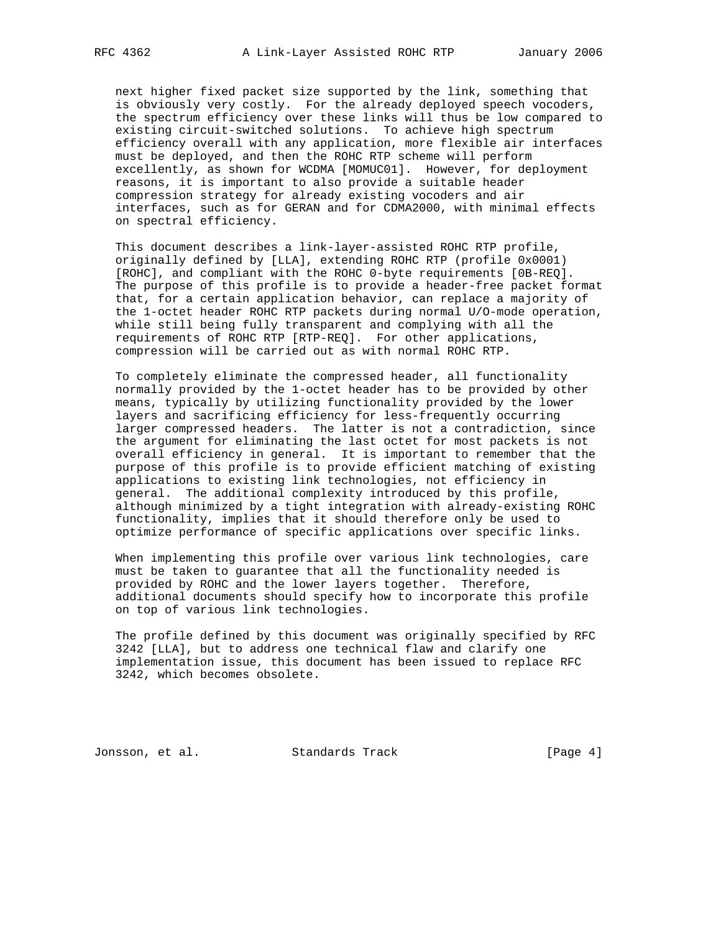next higher fixed packet size supported by the link, something that is obviously very costly. For the already deployed speech vocoders, the spectrum efficiency over these links will thus be low compared to existing circuit-switched solutions. To achieve high spectrum efficiency overall with any application, more flexible air interfaces must be deployed, and then the ROHC RTP scheme will perform excellently, as shown for WCDMA [MOMUC01]. However, for deployment reasons, it is important to also provide a suitable header compression strategy for already existing vocoders and air interfaces, such as for GERAN and for CDMA2000, with minimal effects on spectral efficiency.

 This document describes a link-layer-assisted ROHC RTP profile, originally defined by [LLA], extending ROHC RTP (profile 0x0001) [ROHC], and compliant with the ROHC 0-byte requirements [0B-REQ]. The purpose of this profile is to provide a header-free packet format that, for a certain application behavior, can replace a majority of the 1-octet header ROHC RTP packets during normal U/O-mode operation, while still being fully transparent and complying with all the requirements of ROHC RTP [RTP-REQ]. For other applications, compression will be carried out as with normal ROHC RTP.

 To completely eliminate the compressed header, all functionality normally provided by the 1-octet header has to be provided by other means, typically by utilizing functionality provided by the lower layers and sacrificing efficiency for less-frequently occurring larger compressed headers. The latter is not a contradiction, since the argument for eliminating the last octet for most packets is not overall efficiency in general. It is important to remember that the purpose of this profile is to provide efficient matching of existing applications to existing link technologies, not efficiency in general. The additional complexity introduced by this profile, although minimized by a tight integration with already-existing ROHC functionality, implies that it should therefore only be used to optimize performance of specific applications over specific links.

 When implementing this profile over various link technologies, care must be taken to guarantee that all the functionality needed is provided by ROHC and the lower layers together. Therefore, additional documents should specify how to incorporate this profile on top of various link technologies.

 The profile defined by this document was originally specified by RFC 3242 [LLA], but to address one technical flaw and clarify one implementation issue, this document has been issued to replace RFC 3242, which becomes obsolete.

Jonsson, et al. Standards Track [Page 4]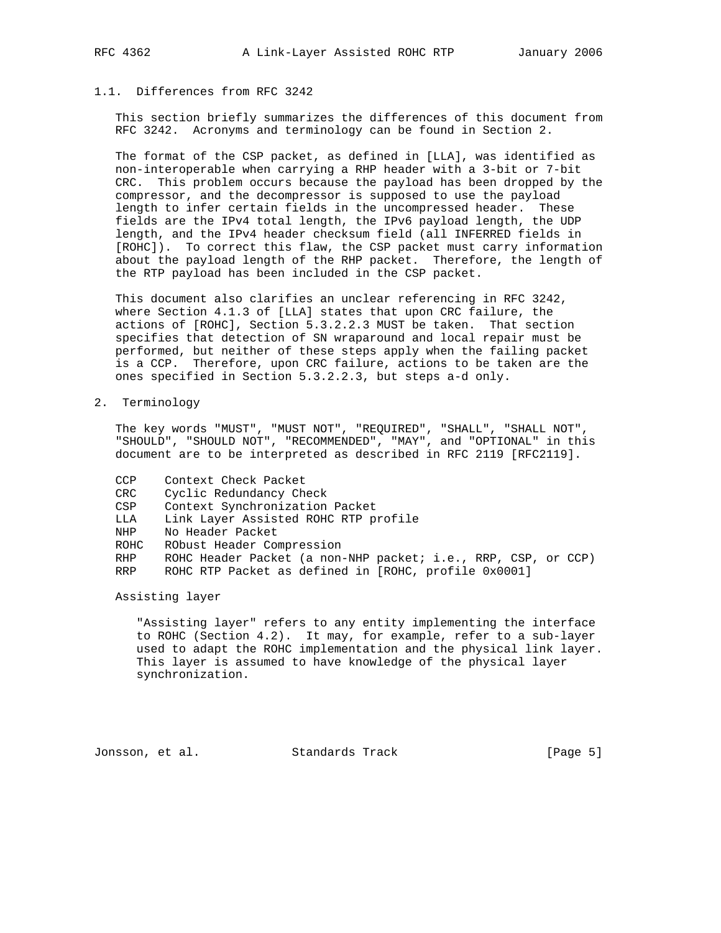# 1.1. Differences from RFC 3242

 This section briefly summarizes the differences of this document from RFC 3242. Acronyms and terminology can be found in Section 2.

 The format of the CSP packet, as defined in [LLA], was identified as non-interoperable when carrying a RHP header with a 3-bit or 7-bit CRC. This problem occurs because the payload has been dropped by the compressor, and the decompressor is supposed to use the payload length to infer certain fields in the uncompressed header. These fields are the IPv4 total length, the IPv6 payload length, the UDP length, and the IPv4 header checksum field (all INFERRED fields in [ROHC]). To correct this flaw, the CSP packet must carry information about the payload length of the RHP packet. Therefore, the length of the RTP payload has been included in the CSP packet.

 This document also clarifies an unclear referencing in RFC 3242, where Section 4.1.3 of [LLA] states that upon CRC failure, the actions of [ROHC], Section 5.3.2.2.3 MUST be taken. That section specifies that detection of SN wraparound and local repair must be performed, but neither of these steps apply when the failing packet is a CCP. Therefore, upon CRC failure, actions to be taken are the ones specified in Section 5.3.2.2.3, but steps a-d only.

2. Terminology

 The key words "MUST", "MUST NOT", "REQUIRED", "SHALL", "SHALL NOT", "SHOULD", "SHOULD NOT", "RECOMMENDED", "MAY", and "OPTIONAL" in this document are to be interpreted as described in RFC 2119 [RFC2119].

- CCP Context Check Packet
- CRC Cyclic Redundancy Check
- CSP Context Synchronization Packet
- LLA Link Layer Assisted ROHC RTP profile
- NHP No Header Packet
- ROHC RObust Header Compression
- RHP ROHC Header Packet (a non-NHP packet; i.e., RRP, CSP, or CCP)
- RRP ROHC RTP Packet as defined in [ROHC, profile 0x0001]

Assisting layer

 "Assisting layer" refers to any entity implementing the interface to ROHC (Section 4.2). It may, for example, refer to a sub-layer used to adapt the ROHC implementation and the physical link layer. This layer is assumed to have knowledge of the physical layer synchronization.

Jonsson, et al. Standards Track [Page 5]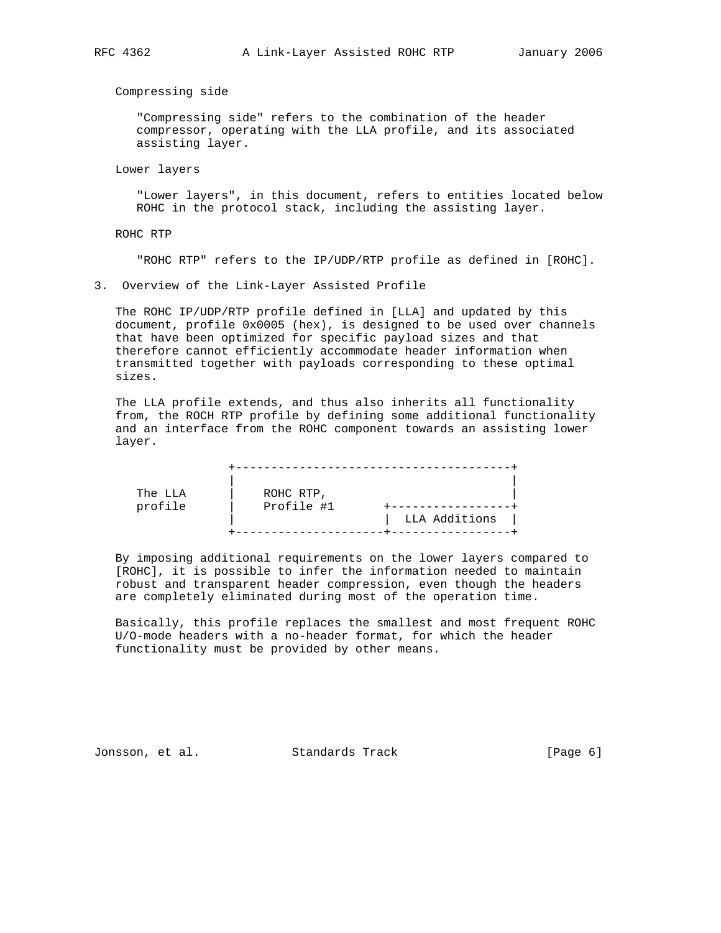Compressing side

 "Compressing side" refers to the combination of the header compressor, operating with the LLA profile, and its associated assisting layer.

Lower layers

 "Lower layers", in this document, refers to entities located below ROHC in the protocol stack, including the assisting layer.

ROHC RTP

"ROHC RTP" refers to the IP/UDP/RTP profile as defined in [ROHC].

3. Overview of the Link-Layer Assisted Profile

 The ROHC IP/UDP/RTP profile defined in [LLA] and updated by this document, profile 0x0005 (hex), is designed to be used over channels that have been optimized for specific payload sizes and that therefore cannot efficiently accommodate header information when transmitted together with payloads corresponding to these optimal sizes.

 The LLA profile extends, and thus also inherits all functionality from, the ROCH RTP profile by defining some additional functionality and an interface from the ROHC component towards an assisting lower layer.

| The LLA<br>profile | ROHC RTP,<br>Profile #1 | LLA Additions |
|--------------------|-------------------------|---------------|

 By imposing additional requirements on the lower layers compared to [ROHC], it is possible to infer the information needed to maintain robust and transparent header compression, even though the headers are completely eliminated during most of the operation time.

 Basically, this profile replaces the smallest and most frequent ROHC U/O-mode headers with a no-header format, for which the header functionality must be provided by other means.

Jonsson, et al. Standards Track (Page 6)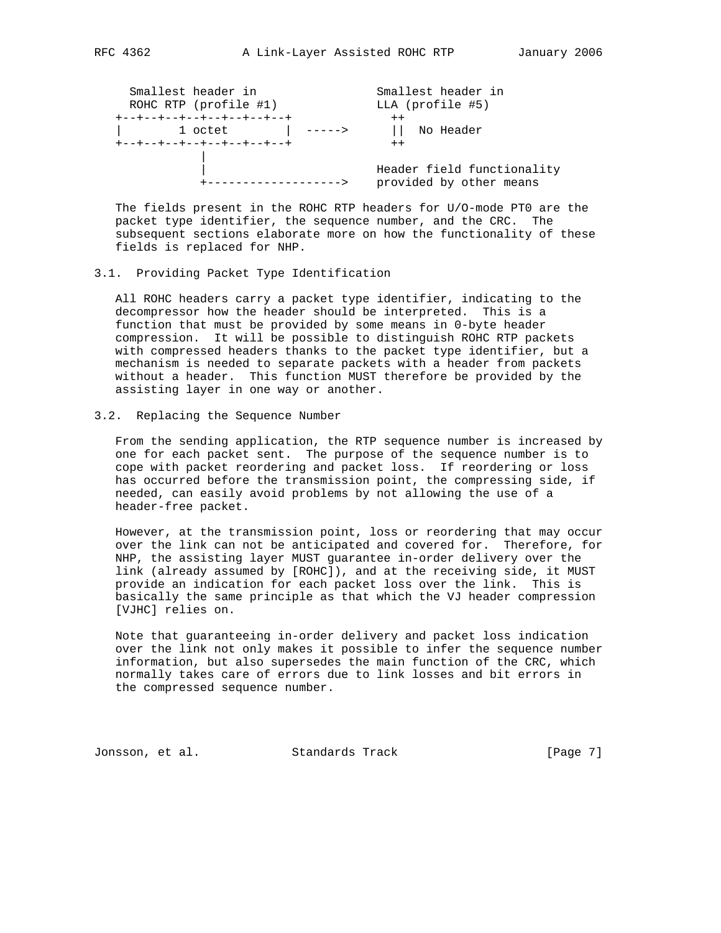| Smallest header in<br>ROHC RTP (profile #1) | Smallest header in<br>LLA (profile #5)                |
|---------------------------------------------|-------------------------------------------------------|
| +--+--+--+--+--+--+--+--+<br>1 octet        | $++$<br>    No Header                                 |
| +--+--+--+--+--+--+--+--+                   | $++$                                                  |
| ---------------->                           | Header field functionality<br>provided by other means |

 The fields present in the ROHC RTP headers for U/O-mode PT0 are the packet type identifier, the sequence number, and the CRC. The subsequent sections elaborate more on how the functionality of these fields is replaced for NHP.

## 3.1. Providing Packet Type Identification

 All ROHC headers carry a packet type identifier, indicating to the decompressor how the header should be interpreted. This is a function that must be provided by some means in 0-byte header compression. It will be possible to distinguish ROHC RTP packets with compressed headers thanks to the packet type identifier, but a mechanism is needed to separate packets with a header from packets without a header. This function MUST therefore be provided by the assisting layer in one way or another.

#### 3.2. Replacing the Sequence Number

 From the sending application, the RTP sequence number is increased by one for each packet sent. The purpose of the sequence number is to cope with packet reordering and packet loss. If reordering or loss has occurred before the transmission point, the compressing side, if needed, can easily avoid problems by not allowing the use of a header-free packet.

 However, at the transmission point, loss or reordering that may occur over the link can not be anticipated and covered for. Therefore, for NHP, the assisting layer MUST guarantee in-order delivery over the link (already assumed by [ROHC]), and at the receiving side, it MUST provide an indication for each packet loss over the link. This is basically the same principle as that which the VJ header compression [VJHC] relies on.

 Note that guaranteeing in-order delivery and packet loss indication over the link not only makes it possible to infer the sequence number information, but also supersedes the main function of the CRC, which normally takes care of errors due to link losses and bit errors in the compressed sequence number.

Jonsson, et al. Standards Track [Page 7]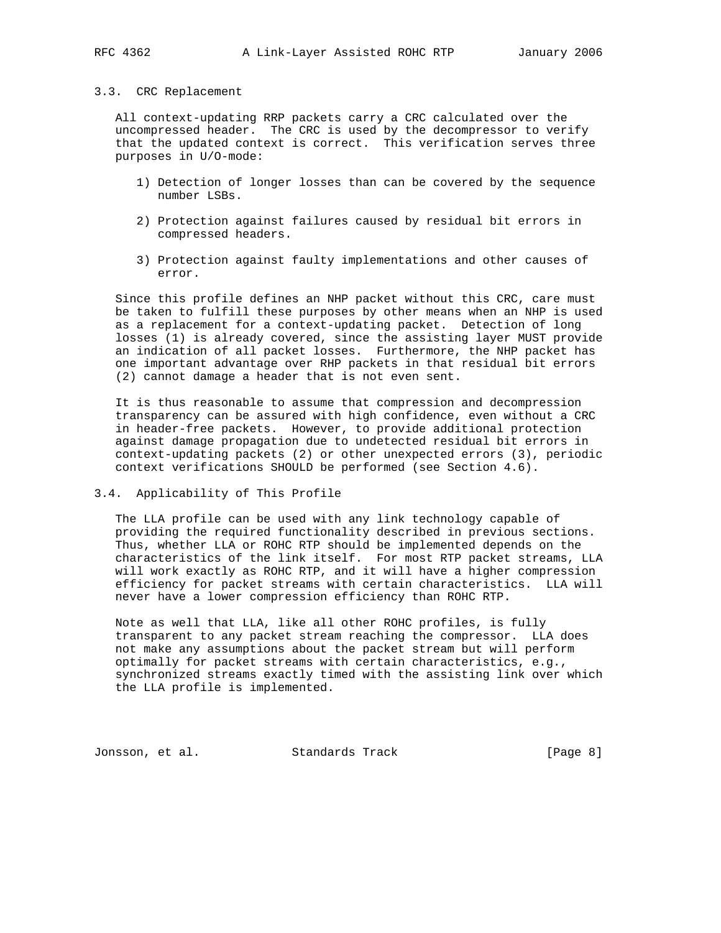### 3.3. CRC Replacement

 All context-updating RRP packets carry a CRC calculated over the uncompressed header. The CRC is used by the decompressor to verify that the updated context is correct. This verification serves three purposes in U/O-mode:

- 1) Detection of longer losses than can be covered by the sequence number LSBs.
- 2) Protection against failures caused by residual bit errors in compressed headers.
- 3) Protection against faulty implementations and other causes of error.

 Since this profile defines an NHP packet without this CRC, care must be taken to fulfill these purposes by other means when an NHP is used as a replacement for a context-updating packet. Detection of long losses (1) is already covered, since the assisting layer MUST provide an indication of all packet losses. Furthermore, the NHP packet has one important advantage over RHP packets in that residual bit errors (2) cannot damage a header that is not even sent.

 It is thus reasonable to assume that compression and decompression transparency can be assured with high confidence, even without a CRC in header-free packets. However, to provide additional protection against damage propagation due to undetected residual bit errors in context-updating packets (2) or other unexpected errors (3), periodic context verifications SHOULD be performed (see Section 4.6).

3.4. Applicability of This Profile

 The LLA profile can be used with any link technology capable of providing the required functionality described in previous sections. Thus, whether LLA or ROHC RTP should be implemented depends on the characteristics of the link itself. For most RTP packet streams, LLA will work exactly as ROHC RTP, and it will have a higher compression efficiency for packet streams with certain characteristics. LLA will never have a lower compression efficiency than ROHC RTP.

 Note as well that LLA, like all other ROHC profiles, is fully transparent to any packet stream reaching the compressor. LLA does not make any assumptions about the packet stream but will perform optimally for packet streams with certain characteristics, e.g., synchronized streams exactly timed with the assisting link over which the LLA profile is implemented.

Jonsson, et al. Standards Track [Page 8]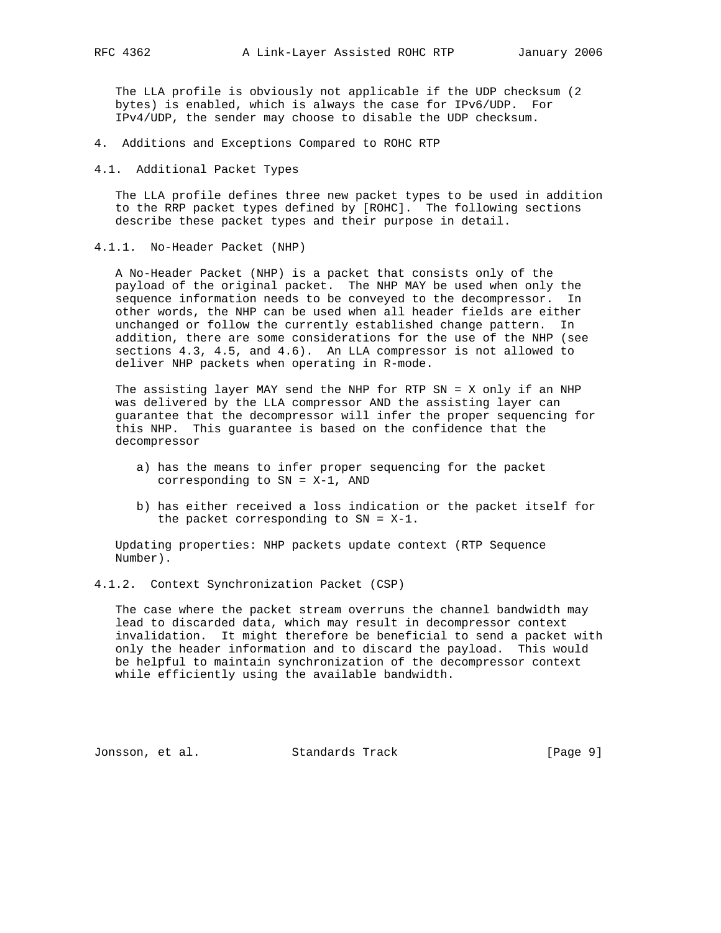The LLA profile is obviously not applicable if the UDP checksum (2 bytes) is enabled, which is always the case for IPv6/UDP. For IPv4/UDP, the sender may choose to disable the UDP checksum.

- 4. Additions and Exceptions Compared to ROHC RTP
- 4.1. Additional Packet Types

 The LLA profile defines three new packet types to be used in addition to the RRP packet types defined by [ROHC]. The following sections describe these packet types and their purpose in detail.

4.1.1. No-Header Packet (NHP)

 A No-Header Packet (NHP) is a packet that consists only of the payload of the original packet. The NHP MAY be used when only the sequence information needs to be conveyed to the decompressor. In other words, the NHP can be used when all header fields are either unchanged or follow the currently established change pattern. In addition, there are some considerations for the use of the NHP (see sections 4.3, 4.5, and 4.6). An LLA compressor is not allowed to deliver NHP packets when operating in R-mode.

 The assisting layer MAY send the NHP for RTP SN = X only if an NHP was delivered by the LLA compressor AND the assisting layer can guarantee that the decompressor will infer the proper sequencing for this NHP. This guarantee is based on the confidence that the decompressor

- a) has the means to infer proper sequencing for the packet corresponding to SN = X-1, AND
- b) has either received a loss indication or the packet itself for the packet corresponding to  $SN = X-1$ .

 Updating properties: NHP packets update context (RTP Sequence Number).

4.1.2. Context Synchronization Packet (CSP)

 The case where the packet stream overruns the channel bandwidth may lead to discarded data, which may result in decompressor context invalidation. It might therefore be beneficial to send a packet with only the header information and to discard the payload. This would be helpful to maintain synchronization of the decompressor context while efficiently using the available bandwidth.

Jonsson, et al. Standards Track [Page 9]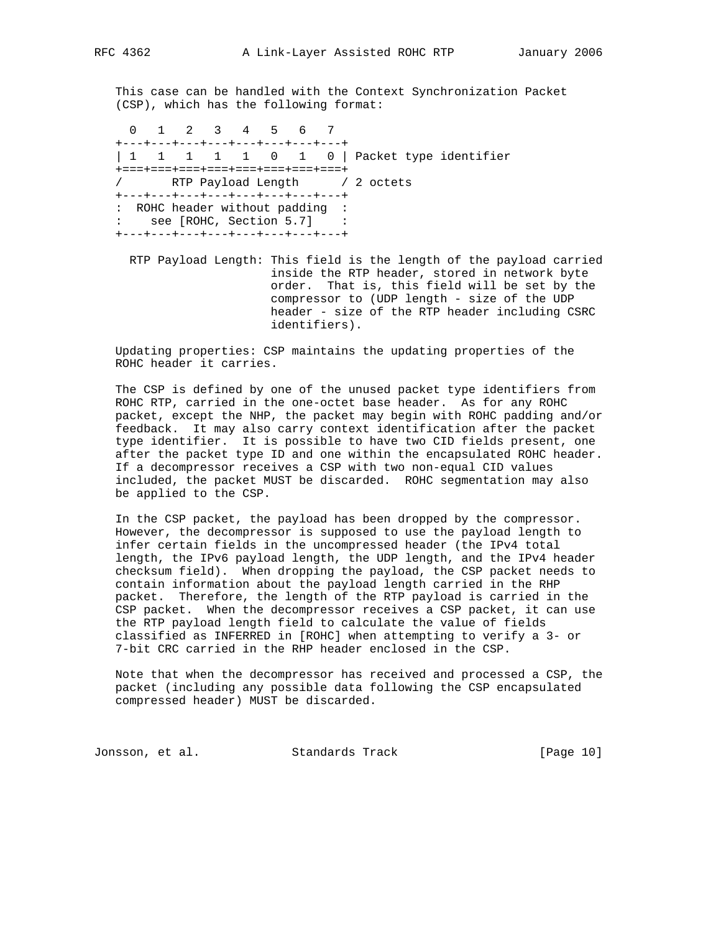This case can be handled with the Context Synchronization Packet (CSP), which has the following format:

 0 1 2 3 4 5 6 7 +---+---+---+---+---+---+---+---+ | 1 1 1 1 1 0 1 0 | Packet type identifier +===+===+===+===+===+===+===+===+ / RTP Payload Length / 2 octets +---+---+---+---+---+---+---+---+ : ROHC header without padding : : see [ROHC, Section 5.7] : +---+---+---+---+---+---+---+---+

 RTP Payload Length: This field is the length of the payload carried inside the RTP header, stored in network byte order. That is, this field will be set by the compressor to (UDP length - size of the UDP header - size of the RTP header including CSRC identifiers).

 Updating properties: CSP maintains the updating properties of the ROHC header it carries.

 The CSP is defined by one of the unused packet type identifiers from ROHC RTP, carried in the one-octet base header. As for any ROHC packet, except the NHP, the packet may begin with ROHC padding and/or feedback. It may also carry context identification after the packet type identifier. It is possible to have two CID fields present, one after the packet type ID and one within the encapsulated ROHC header. If a decompressor receives a CSP with two non-equal CID values included, the packet MUST be discarded. ROHC segmentation may also be applied to the CSP.

 In the CSP packet, the payload has been dropped by the compressor. However, the decompressor is supposed to use the payload length to infer certain fields in the uncompressed header (the IPv4 total length, the IPv6 payload length, the UDP length, and the IPv4 header checksum field). When dropping the payload, the CSP packet needs to contain information about the payload length carried in the RHP packet. Therefore, the length of the RTP payload is carried in the CSP packet. When the decompressor receives a CSP packet, it can use the RTP payload length field to calculate the value of fields classified as INFERRED in [ROHC] when attempting to verify a 3- or 7-bit CRC carried in the RHP header enclosed in the CSP.

 Note that when the decompressor has received and processed a CSP, the packet (including any possible data following the CSP encapsulated compressed header) MUST be discarded.

Jonsson, et al. Standards Track [Page 10]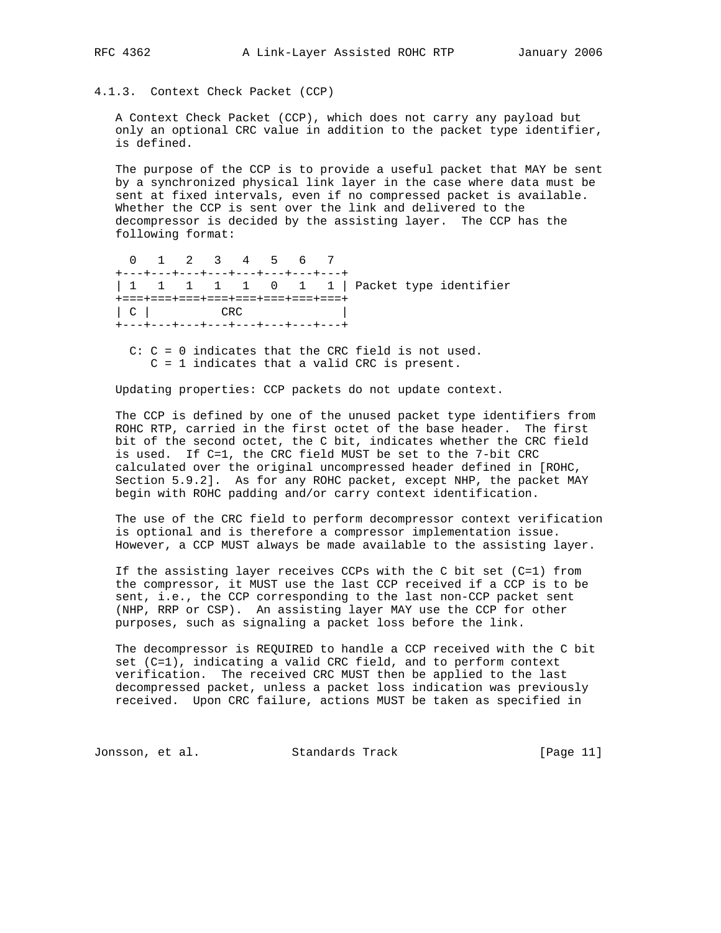4.1.3. Context Check Packet (CCP)

 A Context Check Packet (CCP), which does not carry any payload but only an optional CRC value in addition to the packet type identifier, is defined.

 The purpose of the CCP is to provide a useful packet that MAY be sent by a synchronized physical link layer in the case where data must be sent at fixed intervals, even if no compressed packet is available. Whether the CCP is sent over the link and delivered to the decompressor is decided by the assisting layer. The CCP has the following format:

 0 1 2 3 4 5 6 7 +---+---+---+---+---+---+---+---+ | 1 1 1 1 1 0 1 1 | Packet type identifier +===+===+===+===+===+===+===+===+ | C | CRC | +---+---+---+---+---+---+---+---+

 C: C = 0 indicates that the CRC field is not used. C = 1 indicates that a valid CRC is present.

Updating properties: CCP packets do not update context.

 The CCP is defined by one of the unused packet type identifiers from ROHC RTP, carried in the first octet of the base header. The first bit of the second octet, the C bit, indicates whether the CRC field is used. If C=1, the CRC field MUST be set to the 7-bit CRC calculated over the original uncompressed header defined in [ROHC, Section 5.9.2]. As for any ROHC packet, except NHP, the packet MAY begin with ROHC padding and/or carry context identification.

 The use of the CRC field to perform decompressor context verification is optional and is therefore a compressor implementation issue. However, a CCP MUST always be made available to the assisting layer.

 If the assisting layer receives CCPs with the C bit set (C=1) from the compressor, it MUST use the last CCP received if a CCP is to be sent, i.e., the CCP corresponding to the last non-CCP packet sent (NHP, RRP or CSP). An assisting layer MAY use the CCP for other purposes, such as signaling a packet loss before the link.

 The decompressor is REQUIRED to handle a CCP received with the C bit set (C=1), indicating a valid CRC field, and to perform context verification. The received CRC MUST then be applied to the last decompressed packet, unless a packet loss indication was previously received. Upon CRC failure, actions MUST be taken as specified in

Jonsson, et al. Standards Track [Page 11]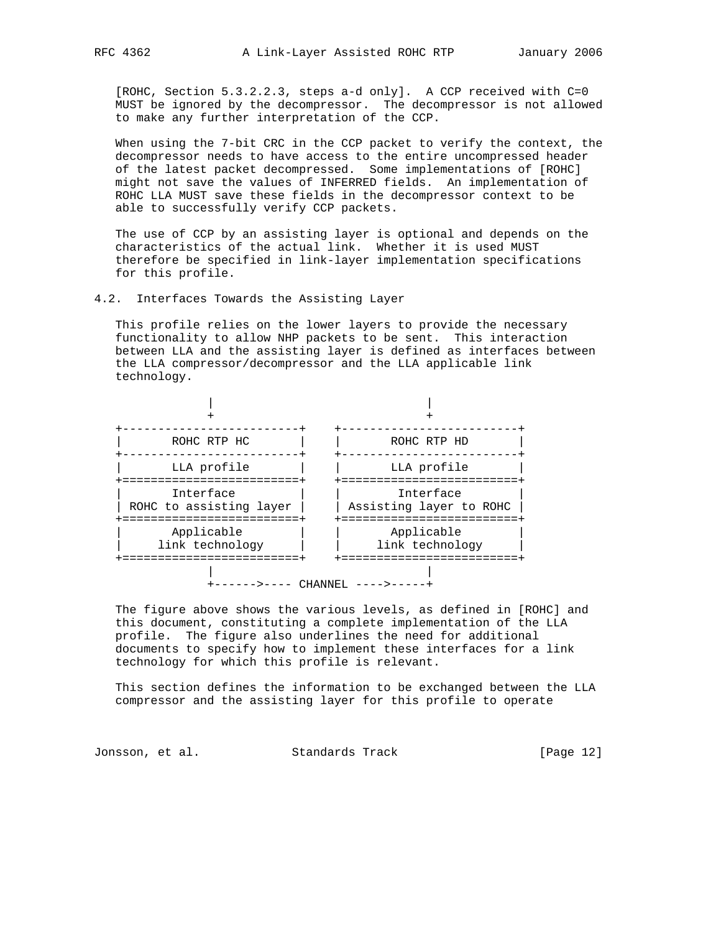[ROHC, Section 5.3.2.2.3, steps a-d only]. A CCP received with C=0 MUST be ignored by the decompressor. The decompressor is not allowed to make any further interpretation of the CCP.

 When using the 7-bit CRC in the CCP packet to verify the context, the decompressor needs to have access to the entire uncompressed header of the latest packet decompressed. Some implementations of [ROHC] might not save the values of INFERRED fields. An implementation of ROHC LLA MUST save these fields in the decompressor context to be able to successfully verify CCP packets.

 The use of CCP by an assisting layer is optional and depends on the characteristics of the actual link. Whether it is used MUST therefore be specified in link-layer implementation specifications for this profile.

## 4.2. Interfaces Towards the Assisting Layer

 This profile relies on the lower layers to provide the necessary functionality to allow NHP packets to be sent. This interaction between LLA and the assisting layer is defined as interfaces between the LLA compressor/decompressor and the LLA applicable link technology.



 The figure above shows the various levels, as defined in [ROHC] and this document, constituting a complete implementation of the LLA profile. The figure also underlines the need for additional documents to specify how to implement these interfaces for a link technology for which this profile is relevant.

 This section defines the information to be exchanged between the LLA compressor and the assisting layer for this profile to operate

Jonsson, et al. Standards Track [Page 12]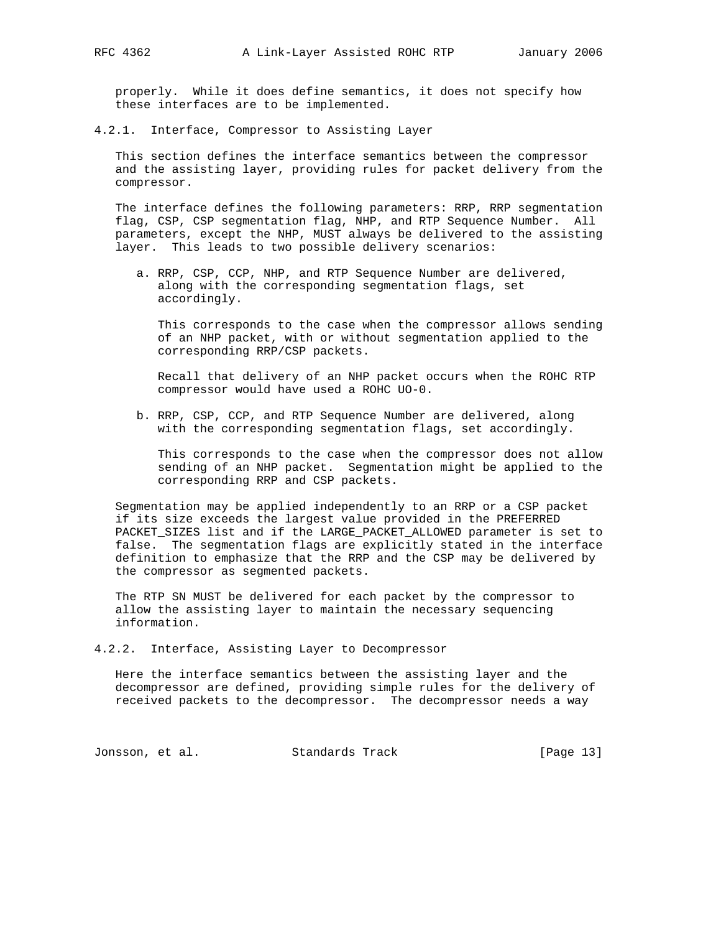properly. While it does define semantics, it does not specify how these interfaces are to be implemented.

4.2.1. Interface, Compressor to Assisting Layer

 This section defines the interface semantics between the compressor and the assisting layer, providing rules for packet delivery from the compressor.

 The interface defines the following parameters: RRP, RRP segmentation flag, CSP, CSP segmentation flag, NHP, and RTP Sequence Number. All parameters, except the NHP, MUST always be delivered to the assisting layer. This leads to two possible delivery scenarios:

 a. RRP, CSP, CCP, NHP, and RTP Sequence Number are delivered, along with the corresponding segmentation flags, set accordingly.

 This corresponds to the case when the compressor allows sending of an NHP packet, with or without segmentation applied to the corresponding RRP/CSP packets.

 Recall that delivery of an NHP packet occurs when the ROHC RTP compressor would have used a ROHC UO-0.

 b. RRP, CSP, CCP, and RTP Sequence Number are delivered, along with the corresponding segmentation flags, set accordingly.

 This corresponds to the case when the compressor does not allow sending of an NHP packet. Segmentation might be applied to the corresponding RRP and CSP packets.

 Segmentation may be applied independently to an RRP or a CSP packet if its size exceeds the largest value provided in the PREFERRED PACKET\_SIZES list and if the LARGE\_PACKET\_ALLOWED parameter is set to false. The segmentation flags are explicitly stated in the interface definition to emphasize that the RRP and the CSP may be delivered by the compressor as segmented packets.

 The RTP SN MUST be delivered for each packet by the compressor to allow the assisting layer to maintain the necessary sequencing information.

4.2.2. Interface, Assisting Layer to Decompressor

 Here the interface semantics between the assisting layer and the decompressor are defined, providing simple rules for the delivery of received packets to the decompressor. The decompressor needs a way

Jonsson, et al. Standards Track [Page 13]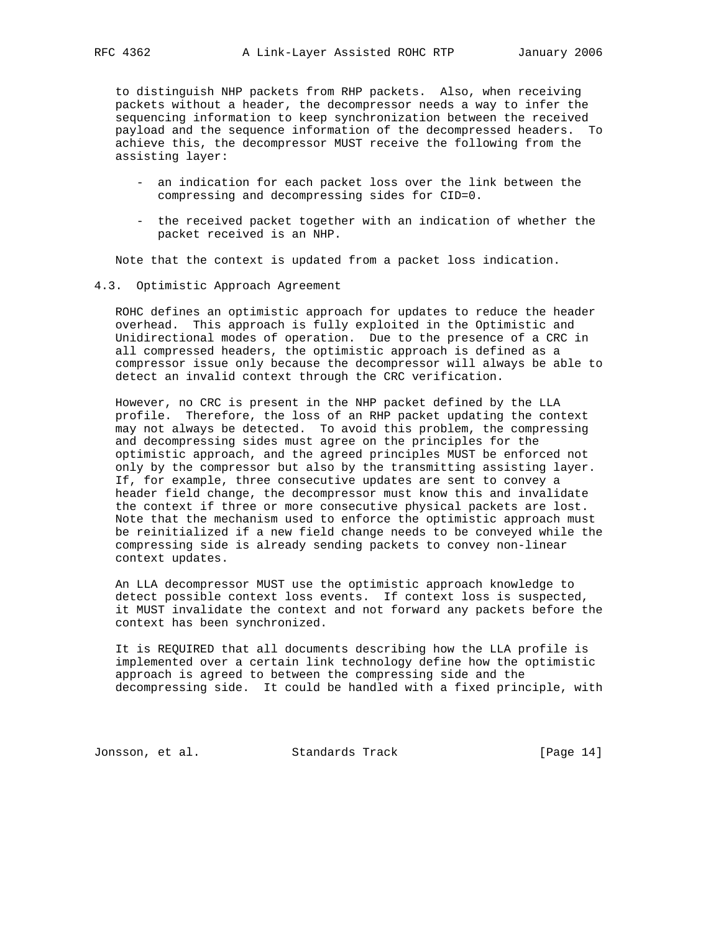to distinguish NHP packets from RHP packets. Also, when receiving packets without a header, the decompressor needs a way to infer the sequencing information to keep synchronization between the received payload and the sequence information of the decompressed headers. To achieve this, the decompressor MUST receive the following from the assisting layer:

- an indication for each packet loss over the link between the compressing and decompressing sides for CID=0.
- the received packet together with an indication of whether the packet received is an NHP.

Note that the context is updated from a packet loss indication.

4.3. Optimistic Approach Agreement

 ROHC defines an optimistic approach for updates to reduce the header overhead. This approach is fully exploited in the Optimistic and Unidirectional modes of operation. Due to the presence of a CRC in all compressed headers, the optimistic approach is defined as a compressor issue only because the decompressor will always be able to detect an invalid context through the CRC verification.

 However, no CRC is present in the NHP packet defined by the LLA profile. Therefore, the loss of an RHP packet updating the context may not always be detected. To avoid this problem, the compressing and decompressing sides must agree on the principles for the optimistic approach, and the agreed principles MUST be enforced not only by the compressor but also by the transmitting assisting layer. If, for example, three consecutive updates are sent to convey a header field change, the decompressor must know this and invalidate the context if three or more consecutive physical packets are lost. Note that the mechanism used to enforce the optimistic approach must be reinitialized if a new field change needs to be conveyed while the compressing side is already sending packets to convey non-linear context updates.

 An LLA decompressor MUST use the optimistic approach knowledge to detect possible context loss events. If context loss is suspected, it MUST invalidate the context and not forward any packets before the context has been synchronized.

 It is REQUIRED that all documents describing how the LLA profile is implemented over a certain link technology define how the optimistic approach is agreed to between the compressing side and the decompressing side. It could be handled with a fixed principle, with

Jonsson, et al. Standards Track [Page 14]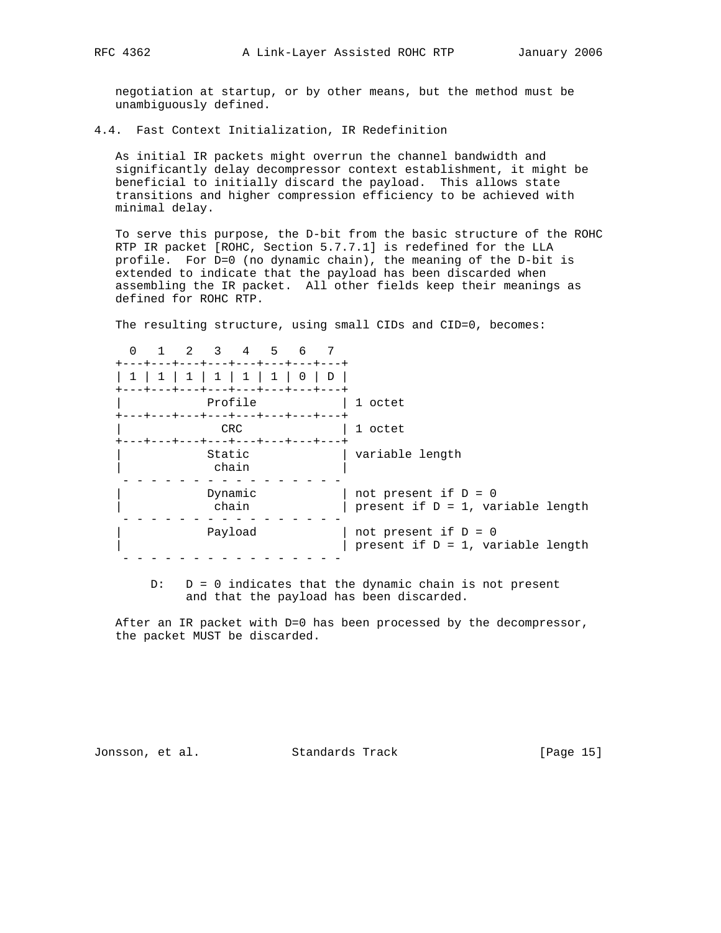negotiation at startup, or by other means, but the method must be unambiguously defined.

4.4. Fast Context Initialization, IR Redefinition

 As initial IR packets might overrun the channel bandwidth and significantly delay decompressor context establishment, it might be beneficial to initially discard the payload. This allows state transitions and higher compression efficiency to be achieved with minimal delay.

 To serve this purpose, the D-bit from the basic structure of the ROHC RTP IR packet [ROHC, Section 5.7.7.1] is redefined for the LLA profile. For D=0 (no dynamic chain), the meaning of the D-bit is extended to indicate that the payload has been discarded when assembling the IR packet. All other fields keep their meanings as defined for ROHC RTP.

The resulting structure, using small CIDs and CID=0, becomes:

 0 1 2 3 4 5 6 7 +---+---+---+---+---+---+---+---+ | 1 | 1 | 1 | 1 | 1 | 1 | 0 | D | +---+---+---+---+---+---+---+---+ | Profile | 1 octet +---+---+---+---+---+---+---+---+ | CRC | 1 octet +---+---+---+---+---+---+---+---+ | Static | variable length | chain | - - - - - - - - - - - - - - - - | Dynamic | not present if D = 0 | chain | present if D = 1, variable length - - - - - - - - - - - - - - - - | Payload | not present if D = 0 | | present if D = 1, variable length - - - - - - - - - - - - - - - -

 $D: D = 0$  indicates that the dynamic chain is not present and that the payload has been discarded.

 After an IR packet with D=0 has been processed by the decompressor, the packet MUST be discarded.

Jonsson, et al. Standards Track [Page 15]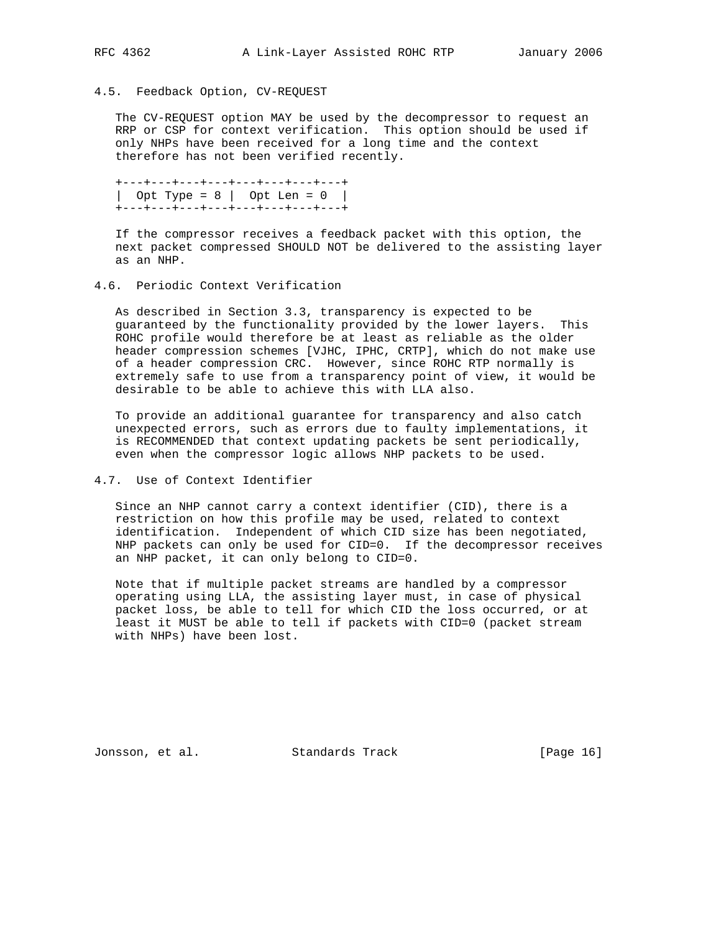# 4.5. Feedback Option, CV-REQUEST

 The CV-REQUEST option MAY be used by the decompressor to request an RRP or CSP for context verification. This option should be used if only NHPs have been received for a long time and the context therefore has not been verified recently.

 +---+---+---+---+---+---+---+---+ | Opt Type = 8 | Opt Len = 0 | +---+---+---+---+---+---+---+---+

 If the compressor receives a feedback packet with this option, the next packet compressed SHOULD NOT be delivered to the assisting layer as an NHP.

# 4.6. Periodic Context Verification

 As described in Section 3.3, transparency is expected to be guaranteed by the functionality provided by the lower layers. This ROHC profile would therefore be at least as reliable as the older header compression schemes [VJHC, IPHC, CRTP], which do not make use of a header compression CRC. However, since ROHC RTP normally is extremely safe to use from a transparency point of view, it would be desirable to be able to achieve this with LLA also.

 To provide an additional guarantee for transparency and also catch unexpected errors, such as errors due to faulty implementations, it is RECOMMENDED that context updating packets be sent periodically, even when the compressor logic allows NHP packets to be used.

# 4.7. Use of Context Identifier

 Since an NHP cannot carry a context identifier (CID), there is a restriction on how this profile may be used, related to context identification. Independent of which CID size has been negotiated, NHP packets can only be used for CID=0. If the decompressor receives an NHP packet, it can only belong to CID=0.

 Note that if multiple packet streams are handled by a compressor operating using LLA, the assisting layer must, in case of physical packet loss, be able to tell for which CID the loss occurred, or at least it MUST be able to tell if packets with CID=0 (packet stream with NHPs) have been lost.

Jonsson, et al. Standards Track [Page 16]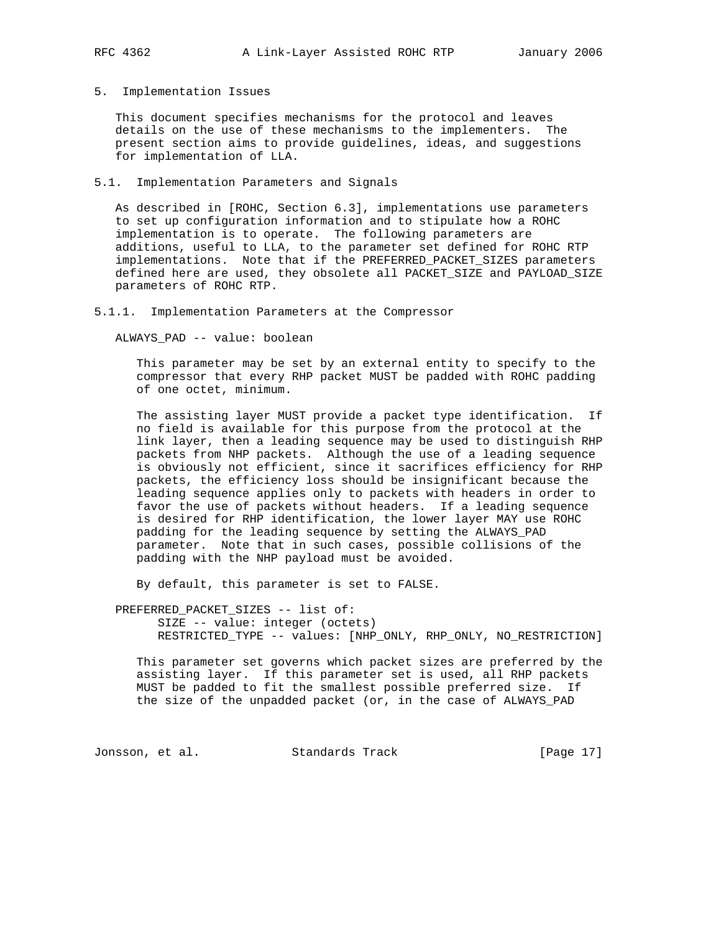5. Implementation Issues

 This document specifies mechanisms for the protocol and leaves details on the use of these mechanisms to the implementers. The present section aims to provide guidelines, ideas, and suggestions for implementation of LLA.

5.1. Implementation Parameters and Signals

 As described in [ROHC, Section 6.3], implementations use parameters to set up configuration information and to stipulate how a ROHC implementation is to operate. The following parameters are additions, useful to LLA, to the parameter set defined for ROHC RTP implementations. Note that if the PREFERRED\_PACKET\_SIZES parameters defined here are used, they obsolete all PACKET\_SIZE and PAYLOAD\_SIZE parameters of ROHC RTP.

5.1.1. Implementation Parameters at the Compressor

ALWAYS\_PAD -- value: boolean

 This parameter may be set by an external entity to specify to the compressor that every RHP packet MUST be padded with ROHC padding of one octet, minimum.

 The assisting layer MUST provide a packet type identification. If no field is available for this purpose from the protocol at the link layer, then a leading sequence may be used to distinguish RHP packets from NHP packets. Although the use of a leading sequence is obviously not efficient, since it sacrifices efficiency for RHP packets, the efficiency loss should be insignificant because the leading sequence applies only to packets with headers in order to favor the use of packets without headers. If a leading sequence is desired for RHP identification, the lower layer MAY use ROHC padding for the leading sequence by setting the ALWAYS\_PAD parameter. Note that in such cases, possible collisions of the padding with the NHP payload must be avoided.

By default, this parameter is set to FALSE.

 PREFERRED\_PACKET\_SIZES -- list of: SIZE -- value: integer (octets) RESTRICTED\_TYPE -- values: [NHP\_ONLY, RHP\_ONLY, NO\_RESTRICTION]

 This parameter set governs which packet sizes are preferred by the assisting layer. If this parameter set is used, all RHP packets MUST be padded to fit the smallest possible preferred size. If the size of the unpadded packet (or, in the case of ALWAYS\_PAD

Jonsson, et al. Standards Track [Page 17]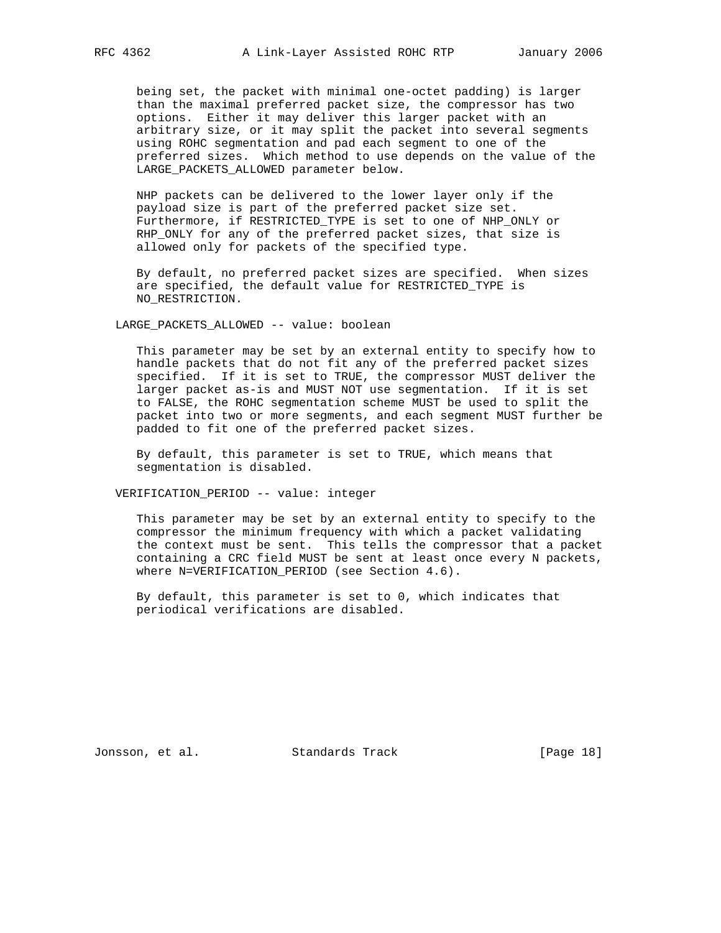being set, the packet with minimal one-octet padding) is larger than the maximal preferred packet size, the compressor has two options. Either it may deliver this larger packet with an arbitrary size, or it may split the packet into several segments using ROHC segmentation and pad each segment to one of the preferred sizes. Which method to use depends on the value of the LARGE\_PACKETS\_ALLOWED parameter below.

 NHP packets can be delivered to the lower layer only if the payload size is part of the preferred packet size set. Furthermore, if RESTRICTED\_TYPE is set to one of NHP\_ONLY or RHP\_ONLY for any of the preferred packet sizes, that size is allowed only for packets of the specified type.

 By default, no preferred packet sizes are specified. When sizes are specified, the default value for RESTRICTED\_TYPE is NO\_RESTRICTION.

LARGE\_PACKETS\_ALLOWED -- value: boolean

 This parameter may be set by an external entity to specify how to handle packets that do not fit any of the preferred packet sizes specified. If it is set to TRUE, the compressor MUST deliver the larger packet as-is and MUST NOT use segmentation. If it is set to FALSE, the ROHC segmentation scheme MUST be used to split the packet into two or more segments, and each segment MUST further be padded to fit one of the preferred packet sizes.

 By default, this parameter is set to TRUE, which means that segmentation is disabled.

VERIFICATION\_PERIOD -- value: integer

 This parameter may be set by an external entity to specify to the compressor the minimum frequency with which a packet validating the context must be sent. This tells the compressor that a packet containing a CRC field MUST be sent at least once every N packets, where N=VERIFICATION\_PERIOD (see Section 4.6).

 By default, this parameter is set to 0, which indicates that periodical verifications are disabled.

Jonsson, et al. Standards Track [Page 18]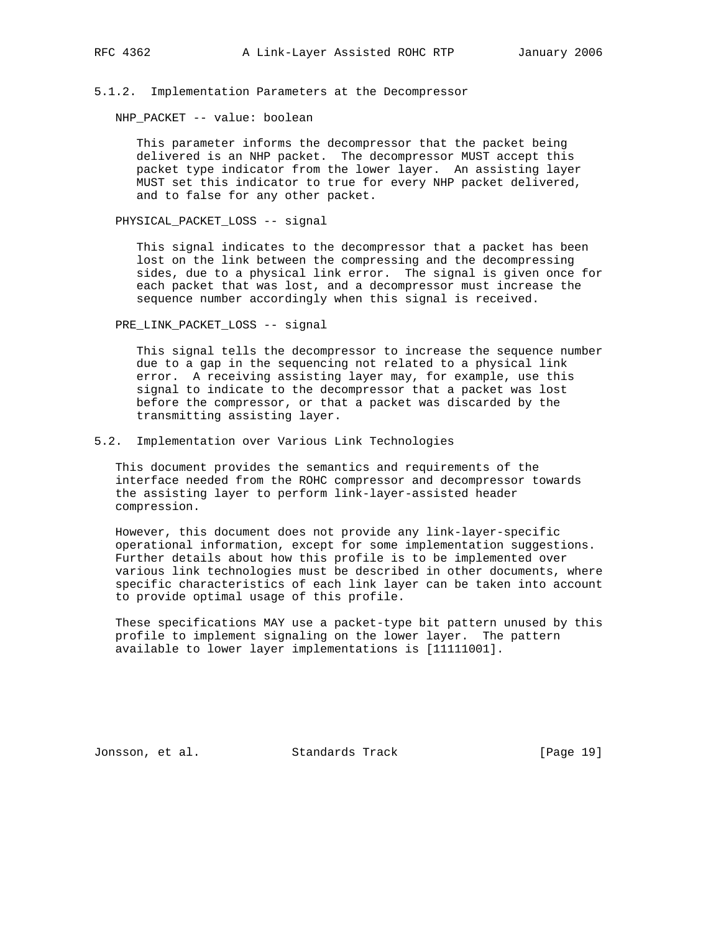# 5.1.2. Implementation Parameters at the Decompressor

NHP\_PACKET -- value: boolean

 This parameter informs the decompressor that the packet being delivered is an NHP packet. The decompressor MUST accept this packet type indicator from the lower layer. An assisting layer MUST set this indicator to true for every NHP packet delivered, and to false for any other packet.

PHYSICAL\_PACKET\_LOSS -- signal

 This signal indicates to the decompressor that a packet has been lost on the link between the compressing and the decompressing sides, due to a physical link error. The signal is given once for each packet that was lost, and a decompressor must increase the sequence number accordingly when this signal is received.

PRE\_LINK\_PACKET\_LOSS -- signal

 This signal tells the decompressor to increase the sequence number due to a gap in the sequencing not related to a physical link error. A receiving assisting layer may, for example, use this signal to indicate to the decompressor that a packet was lost before the compressor, or that a packet was discarded by the transmitting assisting layer.

5.2. Implementation over Various Link Technologies

 This document provides the semantics and requirements of the interface needed from the ROHC compressor and decompressor towards the assisting layer to perform link-layer-assisted header compression.

 However, this document does not provide any link-layer-specific operational information, except for some implementation suggestions. Further details about how this profile is to be implemented over various link technologies must be described in other documents, where specific characteristics of each link layer can be taken into account to provide optimal usage of this profile.

 These specifications MAY use a packet-type bit pattern unused by this profile to implement signaling on the lower layer. The pattern available to lower layer implementations is [11111001].

Jonsson, et al. Standards Track [Page 19]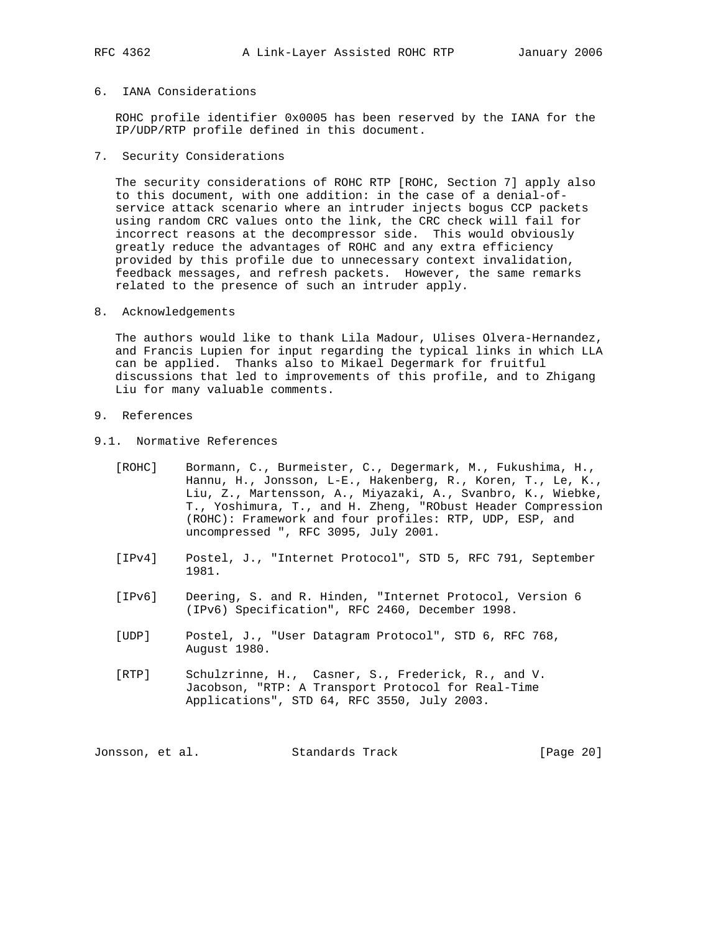# 6. IANA Considerations

 ROHC profile identifier 0x0005 has been reserved by the IANA for the IP/UDP/RTP profile defined in this document.

7. Security Considerations

 The security considerations of ROHC RTP [ROHC, Section 7] apply also to this document, with one addition: in the case of a denial-of service attack scenario where an intruder injects bogus CCP packets using random CRC values onto the link, the CRC check will fail for incorrect reasons at the decompressor side. This would obviously greatly reduce the advantages of ROHC and any extra efficiency provided by this profile due to unnecessary context invalidation, feedback messages, and refresh packets. However, the same remarks related to the presence of such an intruder apply.

8. Acknowledgements

 The authors would like to thank Lila Madour, Ulises Olvera-Hernandez, and Francis Lupien for input regarding the typical links in which LLA can be applied. Thanks also to Mikael Degermark for fruitful discussions that led to improvements of this profile, and to Zhigang Liu for many valuable comments.

- 9. References
- 9.1. Normative References
	- [ROHC] Bormann, C., Burmeister, C., Degermark, M., Fukushima, H., Hannu, H., Jonsson, L-E., Hakenberg, R., Koren, T., Le, K., Liu, Z., Martensson, A., Miyazaki, A., Svanbro, K., Wiebke, T., Yoshimura, T., and H. Zheng, "RObust Header Compression (ROHC): Framework and four profiles: RTP, UDP, ESP, and uncompressed ", RFC 3095, July 2001.
	- [IPv4] Postel, J., "Internet Protocol", STD 5, RFC 791, September 1981.
	- [IPv6] Deering, S. and R. Hinden, "Internet Protocol, Version 6 (IPv6) Specification", RFC 2460, December 1998.
	- [UDP] Postel, J., "User Datagram Protocol", STD 6, RFC 768, August 1980.
	- [RTP] Schulzrinne, H., Casner, S., Frederick, R., and V. Jacobson, "RTP: A Transport Protocol for Real-Time Applications", STD 64, RFC 3550, July 2003.

Jonsson, et al. Standards Track [Page 20]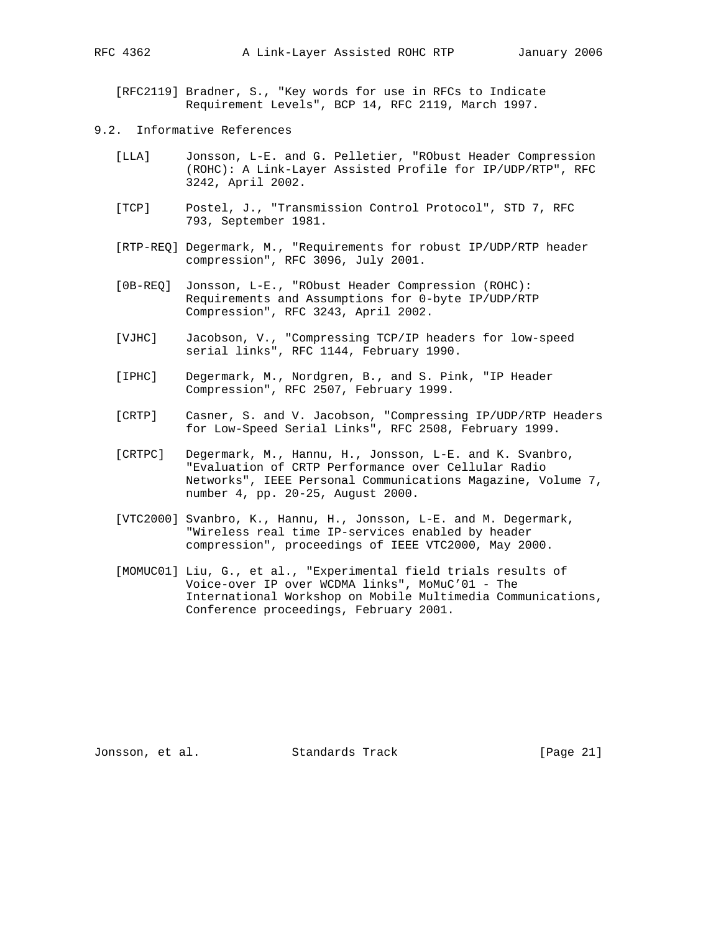[RFC2119] Bradner, S., "Key words for use in RFCs to Indicate Requirement Levels", BCP 14, RFC 2119, March 1997.

- 9.2. Informative References
	- [LLA] Jonsson, L-E. and G. Pelletier, "RObust Header Compression (ROHC): A Link-Layer Assisted Profile for IP/UDP/RTP", RFC 3242, April 2002.
	- [TCP] Postel, J., "Transmission Control Protocol", STD 7, RFC 793, September 1981.
	- [RTP-REQ] Degermark, M., "Requirements for robust IP/UDP/RTP header compression", RFC 3096, July 2001.
	- [0B-REQ] Jonsson, L-E., "RObust Header Compression (ROHC): Requirements and Assumptions for 0-byte IP/UDP/RTP Compression", RFC 3243, April 2002.
	- [VJHC] Jacobson, V., "Compressing TCP/IP headers for low-speed serial links", RFC 1144, February 1990.
	- [IPHC] Degermark, M., Nordgren, B., and S. Pink, "IP Header Compression", RFC 2507, February 1999.
- [CRTP] Casner, S. and V. Jacobson, "Compressing IP/UDP/RTP Headers for Low-Speed Serial Links", RFC 2508, February 1999.
	- [CRTPC] Degermark, M., Hannu, H., Jonsson, L-E. and K. Svanbro, "Evaluation of CRTP Performance over Cellular Radio Networks", IEEE Personal Communications Magazine, Volume 7, number 4, pp. 20-25, August 2000.
	- [VTC2000] Svanbro, K., Hannu, H., Jonsson, L-E. and M. Degermark, "Wireless real time IP-services enabled by header compression", proceedings of IEEE VTC2000, May 2000.
	- [MOMUC01] Liu, G., et al., "Experimental field trials results of Voice-over IP over WCDMA links", MoMuC'01 - The International Workshop on Mobile Multimedia Communications, Conference proceedings, February 2001.

Jonsson, et al. Standards Track [Page 21]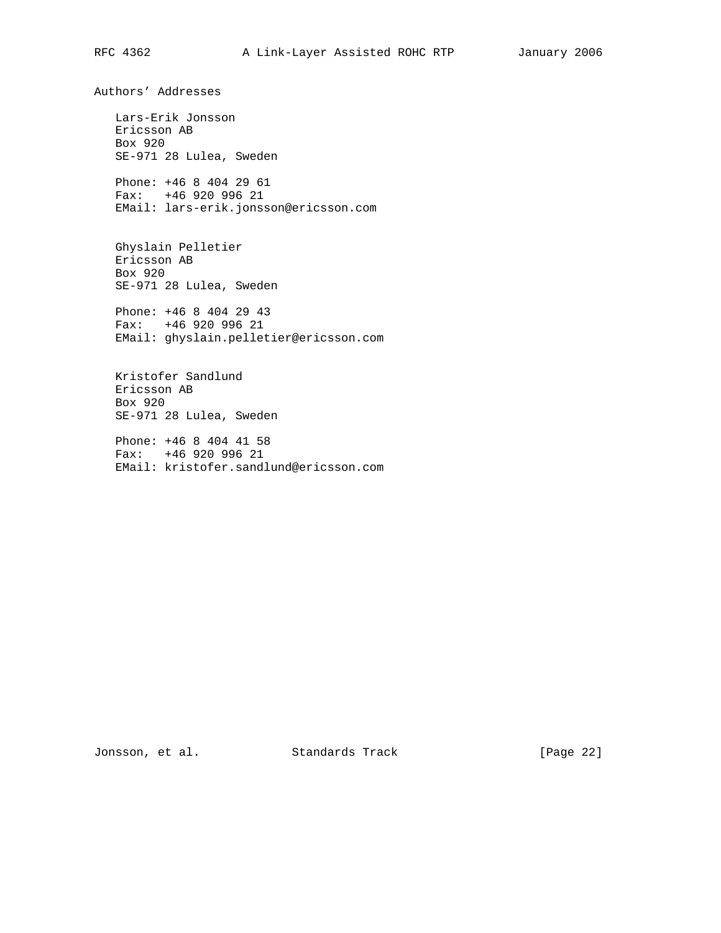Authors' Addresses

 Lars-Erik Jonsson Ericsson AB Box 920 SE-971 28 Lulea, Sweden Phone: +46 8 404 29 61 Fax: +46 920 996 21 EMail: lars-erik.jonsson@ericsson.com

 Ghyslain Pelletier Ericsson AB Box 920 SE-971 28 Lulea, Sweden

 Phone: +46 8 404 29 43 Fax: +46 920 996 21 EMail: ghyslain.pelletier@ericsson.com

 Kristofer Sandlund Ericsson AB Box 920 SE-971 28 Lulea, Sweden

 Phone: +46 8 404 41 58 Fax: +46 920 996 21 EMail: kristofer.sandlund@ericsson.com

Jonsson, et al. Standards Track [Page 22]